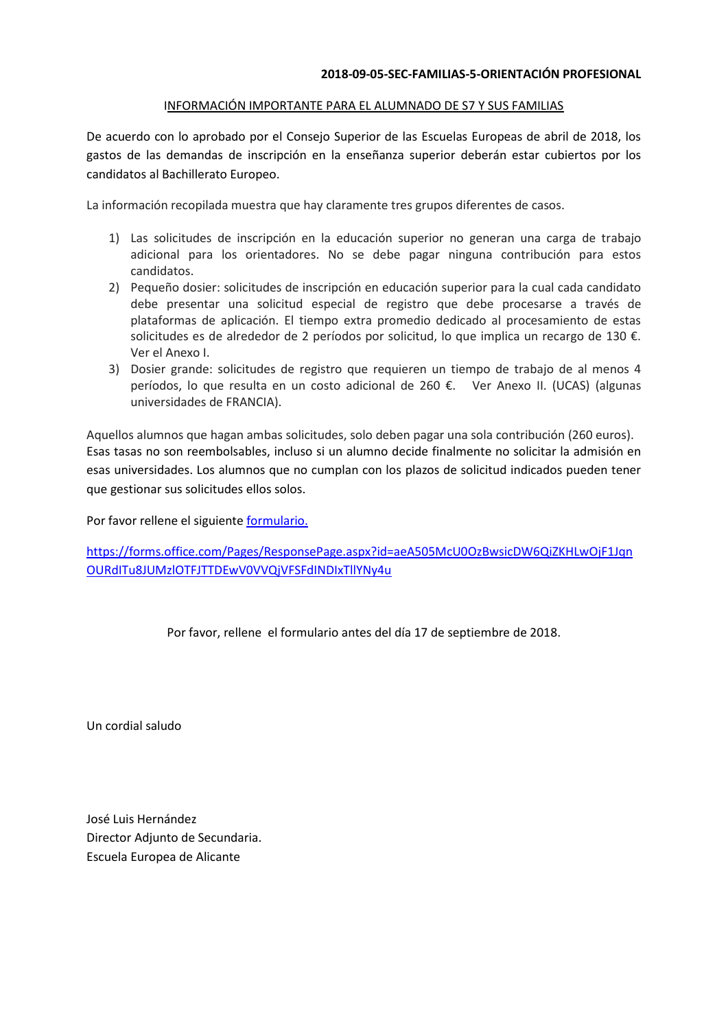## INFORMACIÓN IMPORTANTE PARA EL ALUMNADO DE S7 Y SUS FAMILIAS

De acuerdo con lo aprobado por el Consejo Superior de las Escuelas Europeas de abril de 2018, los gastos de las demandas de inscripción en la enseñanza superior deberán estar cubiertos por los candidatos al Bachillerato Europeo.

La información recopilada muestra que hay claramente tres grupos diferentes de casos.

- 1) Las solicitudes de inscripción en la educación superior no generan una carga de trabajo adicional para los orientadores. No se debe pagar ninguna contribución para estos candidatos.
- 2) Pequeño dosier: solicitudes de inscripción en educación superior para la cual cada candidato debe presentar una solicitud especial de registro que debe procesarse a través de plataformas de aplicación. El tiempo extra promedio dedicado al procesamiento de estas solicitudes es de alrededor de 2 períodos por solicitud, lo que implica un recargo de 130 €. Ver el Anexo I.
- 3) Dosier grande: solicitudes de registro que requieren un tiempo de trabajo de al menos 4 períodos, lo que resulta en un costo adicional de 260 €. Ver Anexo II. (UCAS) (algunas universidades de FRANCIA).

Aquellos alumnos que hagan ambas solicitudes, solo deben pagar una sola contribución (260 euros). Esas tasas no son reembolsables, incluso si un alumno decide finalmente no solicitar la admisión en esas universidades. Los alumnos que no cumplan con los plazos de solicitud indicados pueden tener que gestionar sus solicitudes ellos solos.

Por favor rellene el siguient[e formulario.](https://forms.office.com/Pages/ResponsePage.aspx?id=aeA505McU0OzBwsicDW6QiZKHLwOjF1JqnOURdITu8JUMzlOTFJTTDEwV0VVQjVFSFdINDIxTllYNy4u)

[https://forms.office.com/Pages/ResponsePage.aspx?id=aeA505McU0OzBwsicDW6QiZKHLwOjF1Jqn](https://forms.office.com/Pages/ResponsePage.aspx?id=aeA505McU0OzBwsicDW6QiZKHLwOjF1JqnOURdITu8JUMzlOTFJTTDEwV0VVQjVFSFdINDIxTllYNy4u) [OURdITu8JUMzlOTFJTTDEwV0VVQjVFSFdINDIxTllYNy4u](https://forms.office.com/Pages/ResponsePage.aspx?id=aeA505McU0OzBwsicDW6QiZKHLwOjF1JqnOURdITu8JUMzlOTFJTTDEwV0VVQjVFSFdINDIxTllYNy4u)

Por favor, rellene el formulario antes del día 17 de septiembre de 2018.

Un cordial saludo

José Luis Hernández Director Adjunto de Secundaria. Escuela Europea de Alicante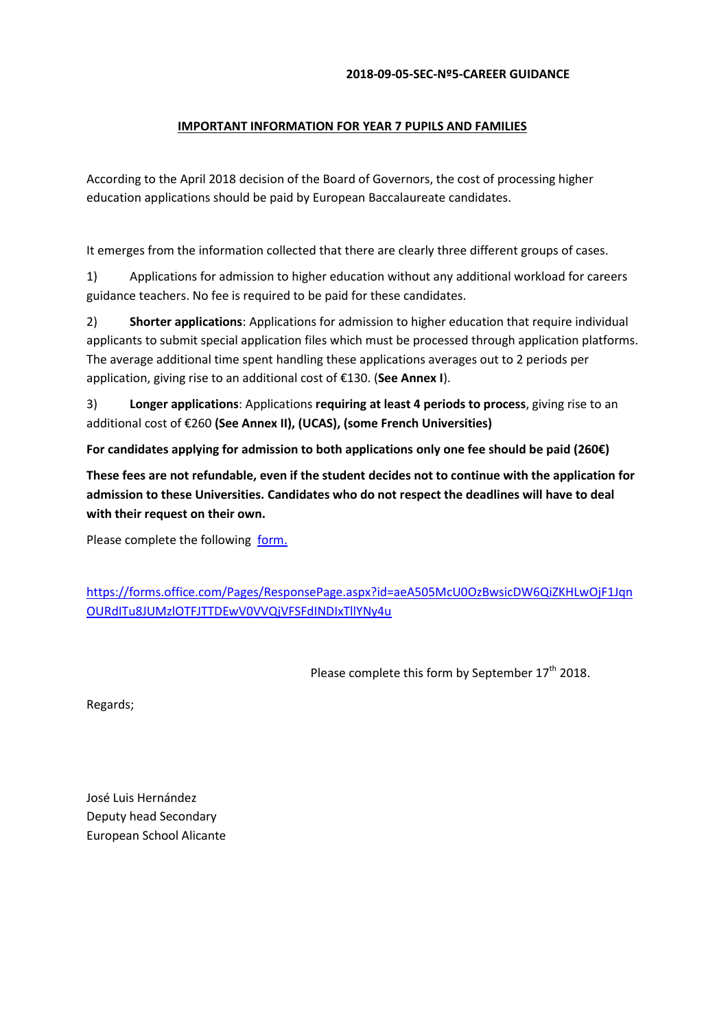## **2018-09-05-SEC-Nº5-CAREER GUIDANCE**

## **IMPORTANT INFORMATION FOR YEAR 7 PUPILS AND FAMILIES**

According to the April 2018 decision of the Board of Governors, the cost of processing higher education applications should be paid by European Baccalaureate candidates.

It emerges from the information collected that there are clearly three different groups of cases.

1) Applications for admission to higher education without any additional workload for careers guidance teachers. No fee is required to be paid for these candidates.

2) **Shorter applications**: Applications for admission to higher education that require individual applicants to submit special application files which must be processed through application platforms. The average additional time spent handling these applications averages out to 2 periods per application, giving rise to an additional cost of €130. (**See Annex I**).

3) **Longer applications**: Applications **requiring at least 4 periods to process**, giving rise to an additional cost of €260 **(See Annex II), (UCAS), (some French Universities)**

**For candidates applying for admission to both applications only one fee should be paid (260€)**

**These fees are not refundable, even if the student decides not to continue with the application for admission to these Universities. Candidates who do not respect the deadlines will have to deal with their request on their own.**

Please complete the following [form.](https://forms.office.com/Pages/ResponsePage.aspx?id=aeA505McU0OzBwsicDW6QiZKHLwOjF1JqnOURdITu8JUMzlOTFJTTDEwV0VVQjVFSFdINDIxTllYNy4u)

[https://forms.office.com/Pages/ResponsePage.aspx?id=aeA505McU0OzBwsicDW6QiZKHLwOjF1Jqn](https://forms.office.com/Pages/ResponsePage.aspx?id=aeA505McU0OzBwsicDW6QiZKHLwOjF1JqnOURdITu8JUMzlOTFJTTDEwV0VVQjVFSFdINDIxTllYNy4u) [OURdITu8JUMzlOTFJTTDEwV0VVQjVFSFdINDIxTllYNy4u](https://forms.office.com/Pages/ResponsePage.aspx?id=aeA505McU0OzBwsicDW6QiZKHLwOjF1JqnOURdITu8JUMzlOTFJTTDEwV0VVQjVFSFdINDIxTllYNy4u)

Please complete this form by September 17<sup>th</sup> 2018.

Regards;

José Luis Hernández Deputy head Secondary European School Alicante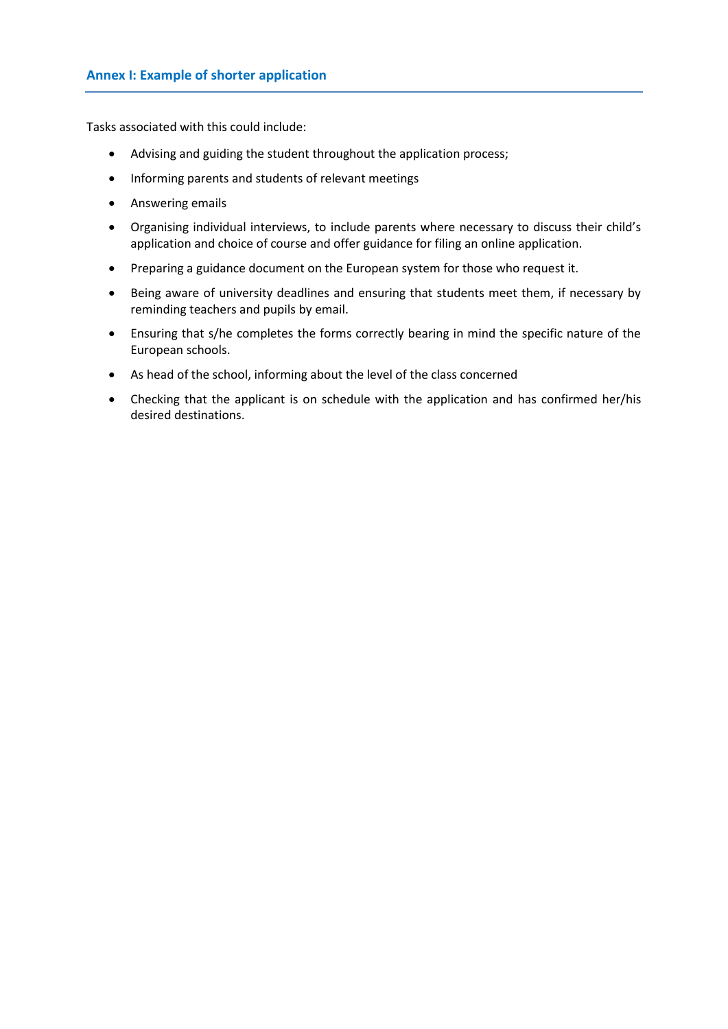Tasks associated with this could include:

- Advising and guiding the student throughout the application process;
- Informing parents and students of relevant meetings
- **•** Answering emails
- Organising individual interviews, to include parents where necessary to discuss their child's application and choice of course and offer guidance for filing an online application.
- Preparing a guidance document on the European system for those who request it.
- Being aware of university deadlines and ensuring that students meet them, if necessary by reminding teachers and pupils by email.
- Ensuring that s/he completes the forms correctly bearing in mind the specific nature of the European schools.
- As head of the school, informing about the level of the class concerned
- Checking that the applicant is on schedule with the application and has confirmed her/his desired destinations.